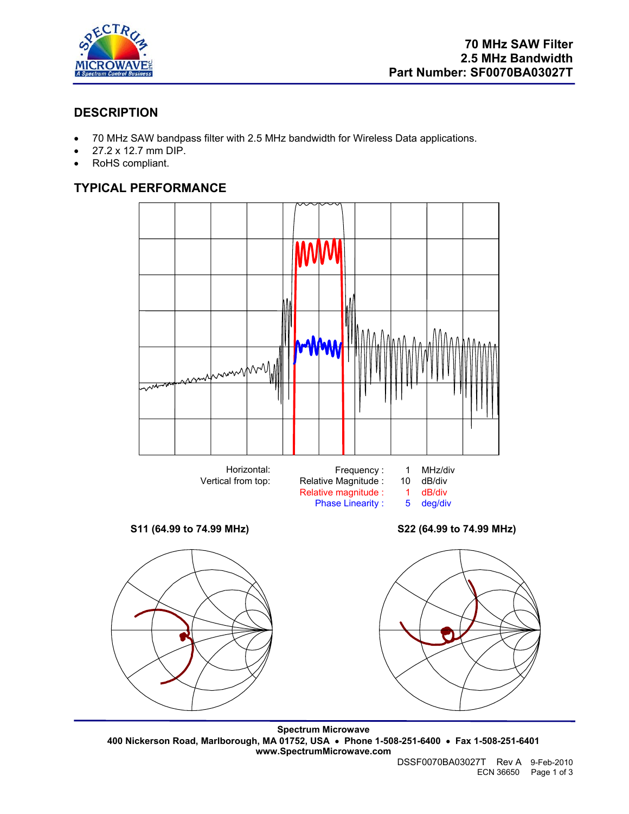

# **DESCRIPTION**

- 70 MHz SAW bandpass filter with 2.5 MHz bandwidth for Wireless Data applications.
- 27.2 x 12.7 mm DIP.
- RoHS compliant.

# **TYPICAL PERFORMANCE**



**Spectrum Microwave 400 Nickerson Road, Marlborough, MA 01752, USA** • **Phone 1-508-251-6400** • **Fax 1-508-251-6401 www.SpectrumMicrowave.com**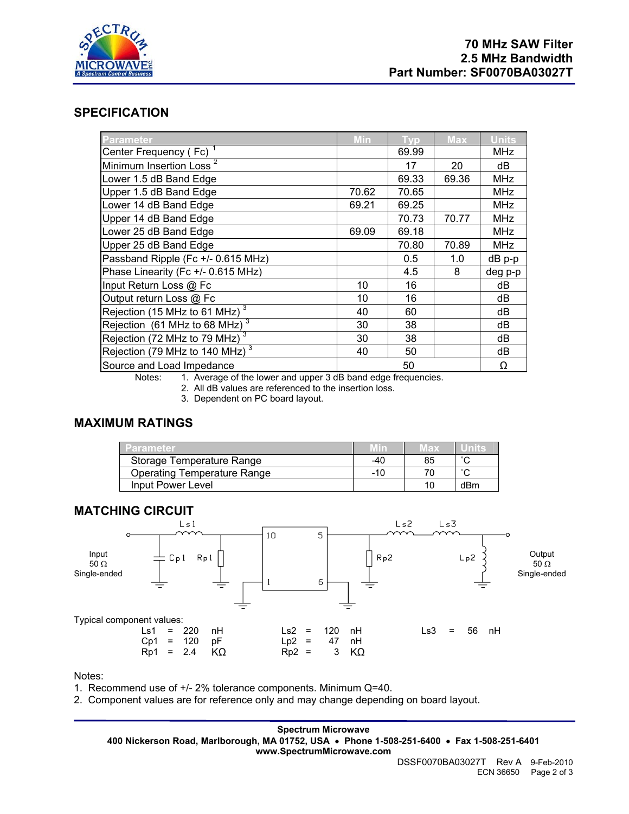

## **SPECIFICATION**

| Parameter                                  | Min   | Tvo   | <b>Max</b> | <b>Units</b> |
|--------------------------------------------|-------|-------|------------|--------------|
| Center Frequency (Fc) <sup>1</sup>         |       | 69.99 |            | <b>MHz</b>   |
| Minimum Insertion Loss <sup>2</sup>        |       | 17    | 20         | dB           |
| Lower 1.5 dB Band Edge                     |       | 69.33 | 69.36      | <b>MHz</b>   |
| Upper 1.5 dB Band Edge                     | 70.62 | 70.65 |            | <b>MHz</b>   |
| Lower 14 dB Band Edge                      | 69.21 | 69.25 |            | <b>MHz</b>   |
| Upper 14 dB Band Edge                      |       | 70.73 | 70.77      | <b>MHz</b>   |
| Lower 25 dB Band Edge                      | 69.09 | 69.18 |            | <b>MHz</b>   |
| Upper 25 dB Band Edge                      |       | 70.80 | 70.89      | <b>MHz</b>   |
| Passband Ripple (Fc +/- 0.615 MHz)         |       | 0.5   | 1.0        | dB p-p       |
| Phase Linearity (Fc +/- 0.615 MHz)         |       | 4.5   | 8          | deg p-p      |
| Input Return Loss @ Fc                     | 10    | 16    |            | dB           |
| Output return Loss @ Fc                    | 10    | 16    |            | dB           |
| Rejection (15 MHz to 61 MHz) <sup>3</sup>  | 40    | 60    |            | dB           |
| Rejection (61 MHz to 68 MHz) $3$           | 30    | 38    |            | dB           |
| Rejection (72 MHz to 79 MHz) <sup>3</sup>  | 30    | 38    |            | dB           |
| Rejection (79 MHz to 140 MHz) <sup>3</sup> | 40    | 50    |            | dB           |
| Source and Load Impedance                  |       | 50    |            | Ω            |

Notes: 1. Average of the lower and upper 3 dB band edge frequencies.

2. All dB values are referenced to the insertion loss.

3. Dependent on PC board layout.

## **MAXIMUM RATINGS**

| <b>LParameter</b>                  | Min | Max |        |
|------------------------------------|-----|-----|--------|
| Storage Temperature Range          | -40 | 85  | $\sim$ |
| <b>Operating Temperature Range</b> | -10 |     | $\sim$ |
| Input Power Level                  |     | 10. | dBm    |



Notes:

1. Recommend use of +/- 2% tolerance components. Minimum Q=40.

2. Component values are for reference only and may change depending on board layout.

**Spectrum Microwave 400 Nickerson Road, Marlborough, MA 01752, USA** • **Phone 1-508-251-6400** • **Fax 1-508-251-6401 www.SpectrumMicrowave.com**